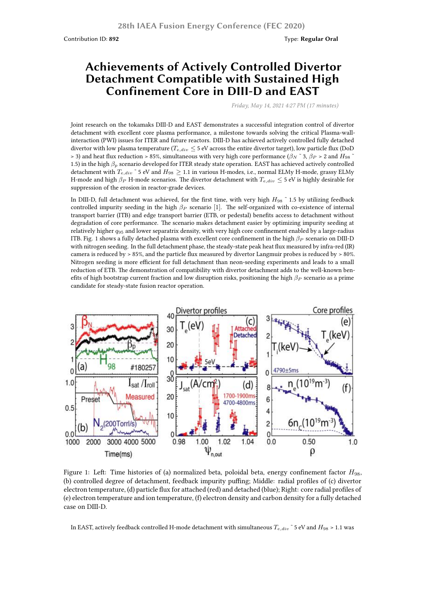Contribution ID: **892** Type: **Regular Oral**

## **Achievements of Actively Controlled Divertor Detachment Compatible with Sustained High Confinement Core in DIII-D and EAST**

*Friday, May 14, 2021 4:27 PM (17 minutes)*

Joint research on the tokamaks DIII-D and EAST demonstrates a successful integration control of divertor detachment with excellent core plasma performance, a milestone towards solving the critical Plasma-wallinteraction (PWI) issues for ITER and future reactors. DIII-D has achieved actively controlled fully detached divertor with low plasma temperature ( $T_{e,div} \leq$  5 eV across the entire divertor target), low particle flux (DoD > 3) and heat flux reduction > 85%, simultaneous with very high core performance (*β<sup>N</sup>* ˜ 3, *β<sup>P</sup>* > 2 and *H*<sup>98</sup> ˜ 1.5) in the high *β<sup>p</sup>* scenario developed for ITER steady state operation. EAST has achieved actively controlled detachment with *Te,div* ˜ 5 eV and *H*<sup>98</sup> *≥* 1.1 in various H-modes, i.e., normal ELMy H-mode, grassy ELMy H-mode and high *β<sup>P</sup>* H-mode scenarios. The divertor detachment with *Te,div ≤* 5 eV is highly desirable for suppression of the erosion in reactor-grade devices.

In DIII-D, full detachment was achieved, for the first time, with very high *H*<sub>98</sub> ~ 1.5 by utilizing feedback controlled impurity seeding in the high *β<sup>P</sup>* scenario [1]. The self-organized with co-existence of internal transport barrier (ITB) and edge transport barrier (ETB, or pedestal) benefits access to detachment without degradation of core performance. The scenario makes detachment easier by optimizing impurity seeding at relatively higher *q*<sup>95</sup> and lower separatrix density, with very high core confinement enabled by a large-radius ITB. Fig. 1 shows a fully detached plasma with excellent core confinement in the high *β<sup>P</sup>* scenario on DIII-D with nitrogen seeding. In the full detachment phase, the steady-state peak heat flux measured by infra-red (IR) camera is reduced by  $> 85\%$ , and the particle flux measured by divertor Langmuir probes is reduced by  $> 80\%$ . Nitrogen seeding is more efficient for full detachment than neon-seeding experiments and leads to a small reduction of ETB. The demonstration of compatibility with divertor detachment adds to the well-known benefits of high bootstrap current fraction and low disruption risks, positioning the high *β<sup>P</sup>* scenario as a prime candidate for steady-state fusion reactor operation.



Figure 1: Left: Time histories of (a) normalized beta, poloidal beta, energy confinement factor *H*98, (b) controlled degree of detachment, feedback impurity puffing; Middle: radial profiles of (c) divertor electron temperature, (d) particle flux for attached (red) and detached (blue); Right: core radial profiles of (e) electron temperature and ion temperature, (f) electron density and carbon density for a fully detached case on DIII-D.

In EAST, actively feedback controlled H-mode detachment with simultaneous  $T_{e,div}$ <sup> $\sim$ </sup> 5 eV and  $H_{98}$  > 1.1 was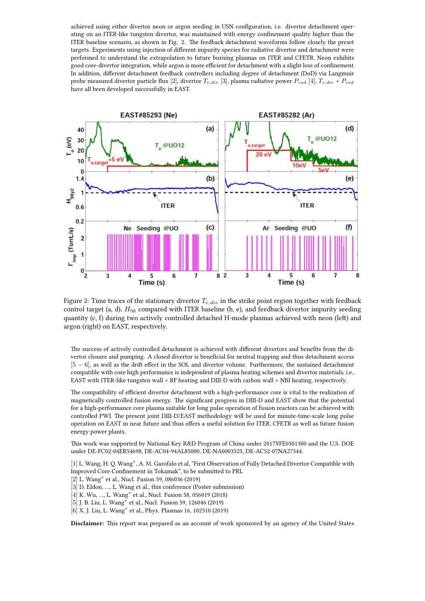achieved using either divertor neon or argon seeding in USN configuration, i.e. divertor detachment operating on an ITER-like tungsten divertor, was maintained with energy confinement quality higher than the ITER baseline scenario, as shown in Fig. 2. The feedback detachment waveforms follow closely the preset targets. Experiments using injection of different impurity species for radiative divertor and detachment were performed to understand the extrapolation to future burning plasmas on ITER and CFETR. Neon exhibits good core-divertor integration, while argon is more efficient for detachment with a slight loss of confinement. In addition, different detachment feedback controllers including degree of detachment (DoD) via Langmuir probe measured divertor particle flux [2], divertor *Te,div* [3], plasma radiative power *Prad* [4], *Te,div* + *Prad* have all been developed successfully in EAST.



Figure 2: Time traces of the stationary divertor *Te,div* in the strike point region together with feedback control target (a, d),  $H_{98}$  compared with ITER baseline (b, e), and feedback divertor impurity seeding quantity (c, f) during two actively controlled detached H-mode plasmas achieved with neon (left) and argon (right) on EAST, respectively.

The success of actively controlled detachment is achieved with different divertors and benefits from the divertor closure and pumping. A closed divertor is beneficial for neutral trapping and thus detachment access [5 *−* 6], as well as the drift effect in the SOL and divertor volume. Furthermore, the sustained detachment compatible with core high performance is independent of plasma heating schemes and divertor materials, i.e., EAST with ITER-like tungsten wall + RF heating and DIII-D with carbon wall + NBI heating, respectively.

The compatibility of efficient divertor detachment with a high-performance core is vital to the realization of magnetically controlled fusion energy. The significant progress in DIII-D and EAST show that the potential for a high-performance core plasma suitable for long pulse operation of fusion reactors can be achieved with controlled PWI. The present joint DIII-D/EAST methodology will be used for minute-time-scale long pulse operation on EAST in near future and thus offers a useful solution for ITER, CFETR as well as future fusion energy power plants.

This work was supported by National Key R&D Program of China under 2017YFE0301300 and the U.S. DOE under DE-FC02-04ER54698, DE-AC04-94AL85000, DE-NA0003525, DE-AC52-07NA27344.

[1] L. Wang, H. Q. Wang*<sup>∗</sup>* , A. M. Garofalo et al, "First Observation of Fully Detached Divertor Compatible with Improved Core Confinement in Tokamak", to be submitted to PRL

- [2] L. Wang*<sup>∗</sup>* et al., Nucl. Fusion 59, 086036 (2019)
- [3] D. Eldon, ..., L. Wang et al., this conference (Poster submission)
- [4] K. Wu, …, L. Wang*<sup>∗</sup>* et al., Nucl. Fusion 58, 056019 (2018)
- [5] J. B. Liu, L. Wang*<sup>∗</sup>* et al., Nucl. Fusion 59, 126046 (2019)
- [6] X. J. Liu, L. Wang*<sup>∗</sup>* et al., Phys. Plasmas 16, 102510 (2019)

**Disclaimer:** This report was prepared as an account of work sponsored by an agency of the United States